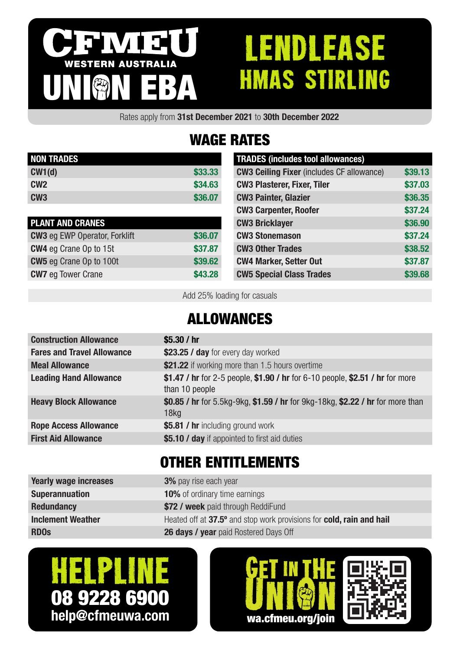# IVI 3 WESTERN AUSTRALIA UNION EBA

# **ENDLEASE** HMAS STIRLING

Rates apply from 31st December 2021 to 30th December 2022

## WAGE RATES

| <b>NON TRADES</b> |         |
|-------------------|---------|
| CW1(d)            | \$33,33 |
| CM2               | \$34.63 |
| CW <sub>3</sub>   | \$36,07 |

| <b>PLANT AND CRANES</b>              |         |
|--------------------------------------|---------|
| <b>CW3</b> eg EWP Operator, Forklift | \$36.07 |
| <b>CW4</b> eg Crane Op to 15t        | \$37.87 |
| <b>CW5</b> eg Crane Op to 100t       | \$39.62 |
| <b>CW7</b> eg Tower Crane            | \$43.28 |

| <b>TRADES</b> (includes tool allowances)         |         |
|--------------------------------------------------|---------|
| <b>CW3 Ceiling Fixer (includes CF allowance)</b> | \$39.13 |
| <b>CW3 Plasterer, Fixer, Tiler</b>               | \$37.03 |
| <b>CW3 Painter, Glazier</b>                      | \$36.35 |
| <b>CW3 Carpenter, Roofer</b>                     | \$37.24 |
| <b>CW3 Bricklayer</b>                            | \$36.90 |
| <b>CW3 Stonemason</b>                            | \$37.24 |
| <b>CW3 Other Trades</b>                          | \$38.52 |
| <b>CW4 Marker, Setter Out</b>                    | \$37.87 |
| <b>CW5 Special Class Trades</b>                  | \$39.68 |

Add 25% loading for casuals

#### ALLOWANCES

| <b>Construction Allowance</b>     | \$5.30 / hr                                                                                        |
|-----------------------------------|----------------------------------------------------------------------------------------------------|
| <b>Fares and Travel Allowance</b> | \$23.25 / day for every day worked                                                                 |
| <b>Meal Allowance</b>             | \$21.22 if working more than 1.5 hours overtime                                                    |
| <b>Leading Hand Allowance</b>     | \$1.47 / hr for 2-5 people, \$1.90 / hr for 6-10 people, \$2.51 / hr for more<br>than 10 people    |
| <b>Heavy Block Allowance</b>      | \$0.85 / hr for 5.5kg-9kg, \$1.59 / hr for 9kg-18kg, \$2.22 / hr for more than<br>18 <sub>kq</sub> |
| <b>Rope Access Allowance</b>      | \$5.81 / hr including ground work                                                                  |
| <b>First Aid Allowance</b>        | \$5.10 / day if appointed to first aid duties                                                      |
|                                   |                                                                                                    |

#### OTHER ENTITLEMENTS

| <b>Yearly wage increases</b> | <b>3%</b> pay rise each year                                         |
|------------------------------|----------------------------------------------------------------------|
| <b>Superannuation</b>        | <b>10%</b> of ordinary time earnings                                 |
| <b>Redundancy</b>            | \$72 / week paid through ReddiFund                                   |
| <b>Inclement Weather</b>     | Heated off at 37.5° and stop work provisions for cold, rain and hail |
| <b>RDOs</b>                  | <b>26 days / year</b> paid Rostered Days Off                         |
|                              |                                                                      |